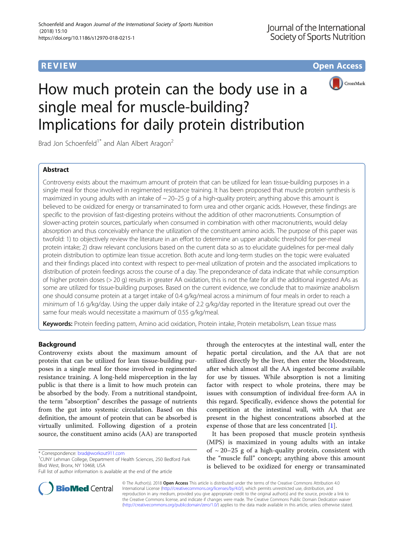**REVIEW CONSTRUCTION CONSTRUCTION CONSTRUCTS** 



# How much protein can the body use in a single meal for muscle-building? Implications for daily protein distribution

Brad Jon Schoenfeld<sup>1\*</sup> and Alan Albert Aragon<sup>2</sup>

# Abstract

Controversy exists about the maximum amount of protein that can be utilized for lean tissue-building purposes in a single meal for those involved in regimented resistance training. It has been proposed that muscle protein synthesis is maximized in young adults with an intake of  $\sim$  20–25 g of a high-quality protein; anything above this amount is believed to be oxidized for energy or transaminated to form urea and other organic acids. However, these findings are specific to the provision of fast-digesting proteins without the addition of other macronutrients. Consumption of slower-acting protein sources, particularly when consumed in combination with other macronutrients, would delay absorption and thus conceivably enhance the utilization of the constituent amino acids. The purpose of this paper was twofold: 1) to objectively review the literature in an effort to determine an upper anabolic threshold for per-meal protein intake; 2) draw relevant conclusions based on the current data so as to elucidate guidelines for per-meal daily protein distribution to optimize lean tissue accretion. Both acute and long-term studies on the topic were evaluated and their findings placed into context with respect to per-meal utilization of protein and the associated implications to distribution of protein feedings across the course of a day. The preponderance of data indicate that while consumption of higher protein doses (> 20 g) results in greater AA oxidation, this is not the fate for all the additional ingested AAs as some are utilized for tissue-building purposes. Based on the current evidence, we conclude that to maximize anabolism one should consume protein at a target intake of 0.4 g/kg/meal across a minimum of four meals in order to reach a minimum of 1.6 g/kg/day. Using the upper daily intake of 2.2 g/kg/day reported in the literature spread out over the same four meals would necessitate a maximum of 0.55 g/kg/meal.

Keywords: Protein feeding pattern, Amino acid oxidation, Protein intake, Protein metabolism, Lean tissue mass

## Background

Controversy exists about the maximum amount of protein that can be utilized for lean tissue-building purposes in a single meal for those involved in regimented resistance training. A long-held misperception in the lay public is that there is a limit to how much protein can be absorbed by the body. From a nutritional standpoint, the term "absorption" describes the passage of nutrients from the gut into systemic circulation. Based on this definition, the amount of protein that can be absorbed is virtually unlimited. Following digestion of a protein source, the constituent amino acids (AA) are transported

CUNY Lehman College, Department of Health Sciences, 250 Bedford Park Blvd West, Bronx, NY 10468, USA

through the enterocytes at the intestinal wall, enter the hepatic portal circulation, and the AA that are not utilized directly by the liver, then enter the bloodstream, after which almost all the AA ingested become available for use by tissues. While absorption is not a limiting factor with respect to whole proteins, there may be issues with consumption of individual free-form AA in this regard. Specifically, evidence shows the potential for competition at the intestinal wall, with AA that are present in the highest concentrations absorbed at the expense of those that are less concentrated [[1\]](#page-4-0).

It has been proposed that muscle protein synthesis (MPS) is maximized in young adults with an intake of  $\sim$  20–25 g of a high-quality protein, consistent with the "muscle full" concept; anything above this amount is believed to be oxidized for energy or transaminated



© The Author(s). 2018 Open Access This article is distributed under the terms of the Creative Commons Attribution 4.0 International License [\(http://creativecommons.org/licenses/by/4.0/](http://creativecommons.org/licenses/by/4.0/)), which permits unrestricted use, distribution, and reproduction in any medium, provided you give appropriate credit to the original author(s) and the source, provide a link to the Creative Commons license, and indicate if changes were made. The Creative Commons Public Domain Dedication waiver [\(http://creativecommons.org/publicdomain/zero/1.0/](http://creativecommons.org/publicdomain/zero/1.0/)) applies to the data made available in this article, unless otherwise stated.

<sup>\*</sup> Correspondence: [brad@workout911.com](mailto:brad@workout911.com) <sup>1</sup>

Full list of author information is available at the end of the article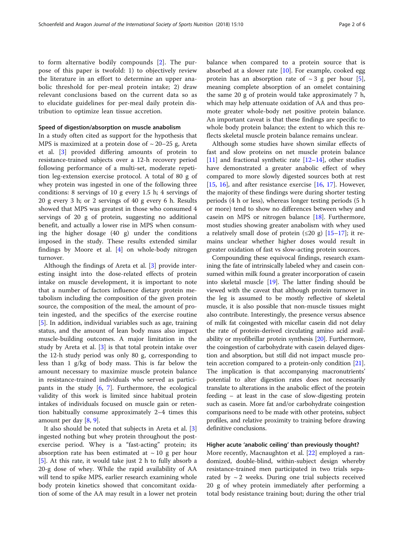to form alternative bodily compounds [\[2](#page-4-0)]. The purpose of this paper is twofold: 1) to objectively review the literature in an effort to determine an upper anabolic threshold for per-meal protein intake; 2) draw relevant conclusions based on the current data so as to elucidate guidelines for per-meal daily protein distribution to optimize lean tissue accretion.

#### Speed of digestion/absorption on muscle anabolism

In a study often cited as support for the hypothesis that MPS is maximized at a protein dose of  $\sim$  20–25 g, Areta et al. [\[3](#page-4-0)] provided differing amounts of protein to resistance-trained subjects over a 12-h recovery period following performance of a multi-set, moderate repetition leg-extension exercise protocol. A total of 80 g of whey protein was ingested in one of the following three conditions: 8 servings of 10 g every 1.5 h; 4 servings of 20 g every 3 h; or 2 servings of 40 g every 6 h. Results showed that MPS was greatest in those who consumed 4 servings of 20 g of protein, suggesting no additional benefit, and actually a lower rise in MPS when consuming the higher dosage (40 g) under the conditions imposed in the study. These results extended similar findings by Moore et al.  $[4]$  $[4]$  on whole-body nitrogen turnover.

Although the findings of Areta et al. [\[3](#page-4-0)] provide interesting insight into the dose-related effects of protein intake on muscle development, it is important to note that a number of factors influence dietary protein metabolism including the composition of the given protein source, the composition of the meal, the amount of protein ingested, and the specifics of the exercise routine [[5\]](#page-4-0). In addition, individual variables such as age, training status, and the amount of lean body mass also impact muscle-building outcomes. A major limitation in the study by Areta et al. [\[3](#page-4-0)] is that total protein intake over the 12-h study period was only 80 g, corresponding to less than 1 g/kg of body mass. This is far below the amount necessary to maximize muscle protein balance in resistance-trained individuals who served as participants in the study [\[6](#page-4-0), [7](#page-4-0)]. Furthermore, the ecological validity of this work is limited since habitual protein intakes of individuals focused on muscle gain or retention habitually consume approximately 2–4 times this amount per day [[8](#page-4-0), [9](#page-4-0)].

It also should be noted that subjects in Areta et al. [\[3](#page-4-0)] ingested nothing but whey protein throughout the postexercise period. Whey is a "fast-acting" protein; its absorption rate has been estimated at  $\sim$  10 g per hour [[5\]](#page-4-0). At this rate, it would take just 2 h to fully absorb a 20-g dose of whey. While the rapid availability of AA will tend to spike MPS, earlier research examining whole body protein kinetics showed that concomitant oxidation of some of the AA may result in a lower net protein balance when compared to a protein source that is absorbed at a slower rate  $[10]$  $[10]$ . For example, cooked egg protein has an absorption rate of  $\sim$  3 g per hour [\[5](#page-4-0)], meaning complete absorption of an omelet containing the same 20 g of protein would take approximately 7 h, which may help attenuate oxidation of AA and thus promote greater whole-body net positive protein balance. An important caveat is that these findings are specific to whole body protein balance; the extent to which this reflects skeletal muscle protein balance remains unclear.

Although some studies have shown similar effects of fast and slow proteins on net muscle protein balance [[11\]](#page-4-0) and fractional synthetic rate  $[12-14]$  $[12-14]$  $[12-14]$  $[12-14]$  $[12-14]$ , other studies have demonstrated a greater anabolic effect of whey compared to more slowly digested sources both at rest [[15,](#page-4-0) [16](#page-4-0)], and after resistance exercise [\[16,](#page-4-0) [17\]](#page-4-0). However, the majority of these findings were during shorter testing periods (4 h or less), whereas longer testing periods (5 h or more) tend to show no differences between whey and casein on MPS or nitrogen balance [[18](#page-4-0)]. Furthermore, most studies showing greater anabolism with whey used a relatively small dose of protein  $(\leq 20 \text{ g})$  [[15](#page-4-0)–[17](#page-4-0)]; it remains unclear whether higher doses would result in greater oxidation of fast vs slow-acting protein sources.

Compounding these equivocal findings, research examining the fate of intrinsically labeled whey and casein consumed within milk found a greater incorporation of casein into skeletal muscle [[19](#page-4-0)]. The latter finding should be viewed with the caveat that although protein turnover in the leg is assumed to be mostly reflective of skeletal muscle, it is also possible that non-muscle tissues might also contribute. Interestingly, the presence versus absence of milk fat coingested with micellar casein did not delay the rate of protein-derived circulating amino acid availability or myofibrillar protein synthesis [\[20](#page-4-0)]. Furthermore, the coingestion of carbohydrate with casein delayed digestion and absorption, but still did not impact muscle protein accretion compared to a protein-only condition [[21](#page-4-0)]. The implication is that accompanying macronutrients' potential to alter digestion rates does not necessarily translate to alterations in the anabolic effect of the protein feeding – at least in the case of slow-digesting protein such as casein. More fat and/or carbohydrate coingestion comparisons need to be made with other proteins, subject profiles, and relative proximity to training before drawing definitive conclusions.

## Higher acute 'anabolic ceiling' than previously thought?

More recently, Macnaughton et al. [[22\]](#page-4-0) employed a randomized, double-blind, within-subject design whereby resistance-trained men participated in two trials separated by  $\sim$  2 weeks. During one trial subjects received 20 g of whey protein immediately after performing a total body resistance training bout; during the other trial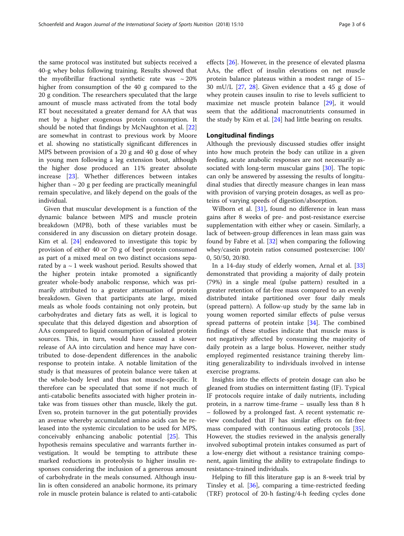the same protocol was instituted but subjects received a 40-g whey bolus following training. Results showed that the myofibrillar fractional synthetic rate was  $\sim 20\%$ higher from consumption of the 40 g compared to the 20 g condition. The researchers speculated that the large amount of muscle mass activated from the total body RT bout necessitated a greater demand for AA that was met by a higher exogenous protein consumption. It should be noted that findings by McNaughton et al. [[22](#page-4-0)] are somewhat in contrast to previous work by Moore et al. showing no statistically significant differences in MPS between provision of a 20 g and 40 g dose of whey in young men following a leg extension bout, although the higher dose produced an 11% greater absolute increase [[23\]](#page-4-0). Whether differences between intakes higher than  $\sim$  20 g per feeding are practically meaningful remain speculative, and likely depend on the goals of the individual.

Given that muscular development is a function of the dynamic balance between MPS and muscle protein breakdown (MPB), both of these variables must be considered in any discussion on dietary protein dosage. Kim et al. [\[24](#page-4-0)] endeavored to investigate this topic by provision of either 40 or 70 g of beef protein consumed as part of a mixed meal on two distinct occasions separated by a  $\sim$  1 week washout period. Results showed that the higher protein intake promoted a significantly greater whole-body anabolic response, which was primarily attributed to a greater attenuation of protein breakdown. Given that participants ate large, mixed meals as whole foods containing not only protein, but carbohydrates and dietary fats as well, it is logical to speculate that this delayed digestion and absorption of AAs compared to liquid consumption of isolated protein sources. This, in turn, would have caused a slower release of AA into circulation and hence may have contributed to dose-dependent differences in the anabolic response to protein intake. A notable limitation of the study is that measures of protein balance were taken at the whole-body level and thus not muscle-specific. It therefore can be speculated that some if not much of anti-catabolic benefits associated with higher protein intake was from tissues other than muscle, likely the gut. Even so, protein turnover in the gut potentially provides an avenue whereby accumulated amino acids can be released into the systemic circulation to be used for MPS, conceivably enhancing anabolic potential [[25](#page-4-0)]. This hypothesis remains speculative and warrants further investigation. It would be tempting to attribute these marked reductions in proteolysis to higher insulin responses considering the inclusion of a generous amount of carbohydrate in the meals consumed. Although insulin is often considered an anabolic hormone, its primary role in muscle protein balance is related to anti-catabolic effects [\[26\]](#page-4-0). However, in the presence of elevated plasma AAs, the effect of insulin elevations on net muscle protein balance plateaus within a modest range of 15– 30 mU/L [[27,](#page-4-0) [28](#page-4-0)]. Given evidence that a 45 g dose of whey protein causes insulin to rise to levels sufficient to maximize net muscle protein balance [\[29](#page-4-0)], it would seem that the additional macronutrients consumed in the study by Kim et al. [[24\]](#page-4-0) had little bearing on results.

## Longitudinal findings

Although the previously discussed studies offer insight into how much protein the body can utilize in a given feeding, acute anabolic responses are not necessarily as-sociated with long-term muscular gains [[30](#page-5-0)]. The topic can only be answered by assessing the results of longitudinal studies that directly measure changes in lean mass with provision of varying protein dosages, as well as proteins of varying speeds of digestion/absorption.

Wilborn et al. [\[31](#page-5-0)], found no difference in lean mass gains after 8 weeks of pre- and post-resistance exercise supplementation with either whey or casein. Similarly, a lack of between-group differences in lean mass gain was found by Fabre et al.  $[32]$  $[32]$  $[32]$  when comparing the following whey/casein protein ratios consumed postexercise: 100/ 0, 50/50, 20/80.

In a 14-day study of elderly women, Arnal et al. [[33](#page-5-0)] demonstrated that providing a majority of daily protein (79%) in a single meal (pulse pattern) resulted in a greater retention of fat-free mass compared to an evenly distributed intake partitioned over four daily meals (spread pattern). A follow-up study by the same lab in young women reported similar effects of pulse versus spread patterns of protein intake [\[34](#page-5-0)]. The combined findings of these studies indicate that muscle mass is not negatively affected by consuming the majority of daily protein as a large bolus. However, neither study employed regimented resistance training thereby limiting generalizability to individuals involved in intense exercise programs.

Insights into the effects of protein dosage can also be gleaned from studies on intermittent fasting (IF). Typical IF protocols require intake of daily nutrients, including protein, in a narrow time-frame – usually less than 8 h – followed by a prolonged fast. A recent systematic review concluded that IF has similar effects on fat-free mass compared with continuous eating protocols [\[35](#page-5-0)]. However, the studies reviewed in the analysis generally involved suboptimal protein intakes consumed as part of a low-energy diet without a resistance training component, again limiting the ability to extrapolate findings to resistance-trained individuals.

Helping to fill this literature gap is an 8-week trial by Tinsley et al. [[36](#page-5-0)], comparing a time-restricted feeding (TRF) protocol of 20-h fasting/4-h feeding cycles done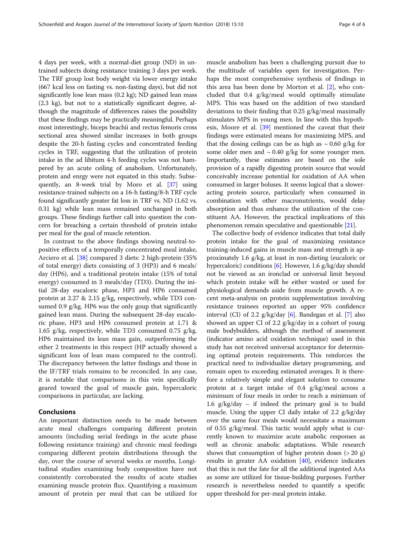4 days per week, with a normal-diet group (ND) in untrained subjects doing resistance training 3 days per week. The TRF group lost body weight via lower energy intake (667 kcal less on fasting vs. non-fasting days), but did not significantly lose lean mass (0.2 kg); ND gained lean mass (2.3 kg), but not to a statistically significant degree, although the magnitude of differences raises the possibility that these findings may be practically meaningful. Perhaps most interestingly, biceps brachii and rectus femoris cross sectional area showed similar increases in both groups despite the 20-h fasting cycles and concentrated feeding cycles in TRF, suggesting that the utilization of protein intake in the ad libitum 4-h feeding cycles was not hampered by an acute ceiling of anabolism. Unfortunately, protein and enrgy were not equated in this study. Subsequently, an 8-week trial by Moro et al. [\[37](#page-5-0)] using resistance-trained subjects on a 16-h fasting/8-h TRF cycle found significantly greater fat loss in TRF vs. ND (1.62 vs. 0.31 kg) while lean mass remained unchanged in both groups. These findings further call into question the concern for breaching a certain threshold of protein intake per meal for the goal of muscle retention.

In contrast to the above findings showing neutral-topositive effects of a temporally concentrated meal intake, Arciero et al. [\[38](#page-5-0)] compared 3 diets: 2 high-protein (35% of total energy) diets consisting of 3 (HP3) and 6 meals/ day (HP6), and a traditional protein intake (15% of total energy) consumed in 3 meals/day (TD3). During the initial 28-day eucaloric phase, HP3 and HP6 consumed protein at 2.27 & 2.15 g/kg, respectively, while TD3 consumed 0.9 g/kg. HP6 was the only goup that significantly gained lean mass. During the subsequent 28-day eucaloric phase, HP3 and HP6 consumed protein at 1.71 & 1.65 g/kg, respectively, while TD3 consumed 0.75 g/kg. HP6 maintained its lean mass gain, outperforming the other 2 treatments in this respect (HP actually showed a significant loss of lean mass compared to the control). The discrepancy between the latter findings and those in the IF/TRF trials remains to be reconciled. In any case, it is notable that comparisons in this vein specifically geared toward the goal of muscle gain, hypercaloric comparisons in particular, are lacking.

## Conclusions

An important distinction needs to be made between acute meal challenges comparing different protein amounts (including serial feedings in the acute phase following resistance training) and chronic meal feedings comparing different protein distributions through the day, over the course of several weeks or months. Longitudinal studies examining body composition have not consistently corroborated the results of acute studies examining muscle protein flux. Quantifying a maximum amount of protein per meal that can be utilized for

muscle anabolism has been a challenging pursuit due to the multitude of variables open for investigation. Perhaps the most comprehensive synthesis of findings in this area has been done by Morton et al. [[2\]](#page-4-0), who concluded that 0.4 g/kg/meal would optimally stimulate MPS. This was based on the addition of two standard deviations to their finding that 0.25 g/kg/meal maximally stimulates MPS in young men. In line with this hypothesis, Moore et al. [\[39](#page-5-0)] mentioned the caveat that their findings were estimated means for maximizing MPS, and that the dosing ceilings can be as high as  $\sim 0.60$  g/kg for some older men and  $\sim 0.40$  g/kg for some younger men. Importantly, these estimates are based on the sole provision of a rapidly digesting protein source that would conceivably increase potential for oxidation of AA when consumed in larger boluses. It seems logical that a sloweracting protein source, particularly when consumed in combination with other macronutrients, would delay absorption and thus enhance the utilization of the constituent AA. However, the practical implications of this phenomenon remain speculative and questionable [\[21\]](#page-4-0).

The collective body of evidence indicates that total daily protein intake for the goal of maximizing resistance training-induced gains in muscle mass and strength is approximately 1.6 g/kg, at least in non-dieting (eucaloric or hypercaloric) conditions [\[6\]](#page-4-0). However, 1.6 g/kg/day should not be viewed as an ironclad or universal limit beyond which protein intake will be either wasted or used for physiological demands aside from muscle growth. A recent meta-analysis on protein supplementation involving resistance trainees reported an upper 95% confidence interval (CI) of 2.2 g/kg/day [\[6](#page-4-0)]. Bandegan et al. [\[7](#page-4-0)] also showed an upper CI of 2.2 g/kg/day in a cohort of young male bodybuilders, although the method of assessment (indicator amino acid oxidation technique) used in this study has not received universal acceptance for determining optimal protein requirements. This reinforces the practical need to individualize dietary programming, and remain open to exceeding estimated averages. It is therefore a relatively simple and elegant solution to consume protein at a target intake of 0.4 g/kg/meal across a minimum of four meals in order to reach a minimum of 1.6 g/kg/day – if indeed the primary goal is to build muscle. Using the upper CI daily intake of 2.2 g/kg/day over the same four meals would necessitate a maximum of 0.55 g/kg/meal. This tactic would apply what is currently known to maximize acute anabolic responses as well as chronic anabolic adaptations. While research shows that consumption of higher protein doses (> 20 g) results in greater AA oxidation [\[40](#page-5-0)], evidence indicates that this is not the fate for all the additional ingested AAs as some are utilized for tissue-building purposes. Further research is nevertheless needed to quantify a specific upper threshold for per-meal protein intake.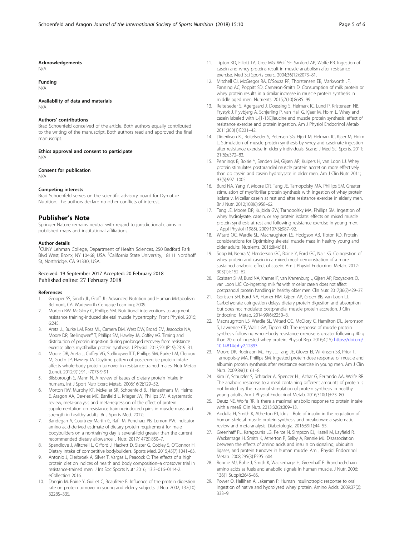#### <span id="page-4-0"></span>Acknowledgements

N/A

## Funding

N/A

## Availability of data and materials

N/A

#### Authors' contributions

Brad Schoenfeld conceived of the article. Both authors equally contributed to the writing of the manuscript. Both authors read and approved the final manuscript.

Ethics approval and consent to participate N/A

Consent for publication

N/A

#### Competing interests

Brad Schoenfeld serves on the scientific advisory board for Dymatize Nutrition. The authors declare no other conflicts of interest.

### Publisher's Note

Springer Nature remains neutral with regard to jurisdictional claims in published maps and institutional affiliations.

#### Author details

<sup>1</sup>CUNY Lehman College, Department of Health Sciences, 250 Bedford Park Blvd West, Bronx, NY 10468, USA. <sup>2</sup>California State University, 18111 Nordhoff St, Northridge, CA 91330, USA.

#### Received: 19 September 2017 Accepted: 20 February 2018 Published online: 27 February 2018

#### References

- 1. Gropper SS, Smith JL, Groff JL: Advanced Nutrition and Human Metabolism. Belmont, CA: Wadsworth Cengage Learning; 2009.
- Morton RW, McGlory C, Phillips SM. Nutritional interventions to augment resistance training-induced skeletal muscle hypertrophy. Front Physiol. 2015; 6:245.
- 3. Areta JL, Burke LM, Ross ML, Camera DM, West DW, Broad EM, Jeacocke NA, Moore DR, Stellingwerff T, Phillips SM, Hawley JA, Coffey VG. Timing and distribution of protein ingestion during prolonged recovery from resistance exercise alters myofibrillar protein synthesis. J Physiol. 2013;591(Pt 9):2319–31.
- 4. Moore DR, Areta J, Coffey VG, Stellingwerff T, Phillips SM, Burke LM, Cleroux M, Godin JP, Hawley JA. Daytime pattern of post-exercise protein intake affects whole-body protein turnover in resistance-trained males. Nutr Metab (Lond). 2012;9(1):91. -7075-9-91
- 5. Bilsborough S, Mann N. A review of issues of dietary protein intake in humans. Int J Sport Nutr Exerc Metab. 2006;16(2):129–52.
- 6. Morton RW, Murphy KT, McKellar SR, Schoenfeld BJ, Henselmans M, Helms E, Aragon AA, Devries MC, Banfield L, Krieger JW, Phillips SM. A systematic review, meta-analysis and meta-regression of the effect of protein supplementation on resistance training-induced gains in muscle mass and strength in healthy adults. Br J Sports Med. 2017;
- Bandegan A, Courtney-Martin G, Rafii M, Pencharz PB, Lemon PW. Indicator amino acid-derived estimate of dietary protein requirement for male bodybuilders on a nontraining day is several-fold greater than the current recommended dietary allowance. J Nutr. 2017;147(5):850–7.
- 8. Spendlove J, Mitchell L, Gifford J, Hackett D, Slater G, Cobley S, O'Connor H. Dietary intake of competitive bodybuilders. Sports Med. 2015;45(7):1041–63.
- 9. Antonio J, Ellerbroek A, Silver T, Vargas L, Peacock C: The effects of a high protein diet on indices of health and body composition–a crossover trial in resistance-trained men. J Int Soc Sports Nutr 2016, 13:3–016–0114-2. eCollection 2016.
- 10. Dangin M, Boirie Y, Guillet C, Beaufrere B: Influence of the protein digestion rate on protein turnover in young and elderly subjects. J Nutr 2002, 132(10): 3228S–33S.
- 11. Tipton KD, Elliott TA, Cree MG, Wolf SE, Sanford AP, Wolfe RR. Ingestion of casein and whey proteins result in muscle anabolism after resistance exercise. Med Sci Sports Exerc. 2004;36(12):2073–81.
- 12. Mitchell CJ, McGregor RA, D'Souza RF, Thorstensen EB, Markworth JF, Fanning AC, Poppitt SD, Cameron-Smith D. Consumption of milk protein or whey protein results in a similar increase in muscle protein synthesis in middle aged men. Nutrients. 2015;7(10):8685–99.
- 13. Reitelseder S, Agergaard J, Doessing S, Helmark IC, Lund P, Kristensen NB, Frystyk J, Flyvbjerg A, Schjerling P, van Hall G, Kjaer M, Holm L. Whey and casein labeled with L-[1-13C]leucine and muscle protein synthesis: effect of resistance exercise and protein ingestion. Am J Physiol Endocrinol Metab. 2011;300(1):E231–42.
- 14. Dideriksen KJ, Reitelseder S, Petersen SG, Hjort M, Helmark IC, Kjaer M, Holm L. Stimulation of muscle protein synthesis by whey and caseinate ingestion after resistance exercise in elderly individuals. Scand J Med Sci Sports. 2011; 21(6):e372–83.
- 15. Pennings B, Boirie Y, Senden JM, Gijsen AP, Kuipers H, van Loon LJ. Whey protein stimulates postprandial muscle protein accretion more effectively than do casein and casein hydrolysate in older men. Am J Clin Nutr. 2011; 93(5):997–1005.
- 16. Burd NA, Yang Y, Moore DR, Tang JE, Tarnopolsky MA, Phillips SM. Greater stimulation of myofibrillar protein synthesis with ingestion of whey protein isolate v. Micellar casein at rest and after resistance exercise in elderly men. Br J Nutr. 2012;108(6):958–62.
- 17. Tang JE, Moore DR, Kujbida GW, Tarnopolsky MA, Phillips SM. Ingestion of whey hydrolysate, casein, or soy protein isolate: effects on mixed muscle protein synthesis at rest and following resistance exercise in young men. J Appl Physiol (1985). 2009;107(3):987–92.
- 18. Witard OC, Wardle SL, Macnaughton LS, Hodgson AB, Tipton KD. Protein considerations for Optimising skeletal muscle mass in healthy young and older adults. Nutrients. 2016;8(4):181.
- 19. Soop M, Nehra V, Henderson GC, Boirie Y, Ford GC, Nair KS. Coingestion of whey protein and casein in a mixed meal: demonstration of a more sustained anabolic effect of casein. Am J Physiol Endocrinol Metab. 2012; 303(1):E152–62.
- 20. Gorissen SHM, Burd NA, Kramer IF, van Kranenburg J, Gijsen AP, Rooyackers O, van Loon LJC. Co-ingesting milk fat with micellar casein does not affect postprandial protein handling in healthy older men. Clin Nutr. 2017;36(2):429–37.
- 21. Gorissen SH, Burd NA, Hamer HM, Gijsen AP, Groen BB, van Loon LJ. Carbohydrate coingestion delays dietary protein digestion and absorption but does not modulate postprandial muscle protein accretion. J Clin Endocrinol Metab. 2014;99(6):2250–8.
- 22. Macnaughton LS, Wardle SL, Witard OC, McGlory C, Hamilton DL, Jeromson S, Lawrence CE, Wallis GA, Tipton KD. The response of muscle protein synthesis following whole-body resistance exercise is greater following 40 g than 20 g of ingested whey protein. Physiol Rep. 2016;4(15) [https://doi.org/](https://doi.org/10.14814/phy2.12893) [10.14814/phy2.12893.](https://doi.org/10.14814/phy2.12893)
- 23. Moore DR, Robinson MJ, Fry JL, Tang JE, Glover EI, Wilkinson SB, Prior T, Tarnopolsky MA, Phillips SM. Ingested protein dose response of muscle and albumin protein synthesis after resistance exercise in young men. Am J Clin Nutr. 2009;89(1):161–8.
- 24. Kim IY, Schutzler S, Schrader A, Spencer HJ, Azhar G, Ferrando AA, Wolfe RR. The anabolic response to a meal containing different amounts of protein is not limited by the maximal stimulation of protein synthesis in healthy young adults. Am J Physiol Endocrinol Metab. 2016;310(1):E73–80.
- 25. Deutz NE, Wolfe RR. Is there a maximal anabolic response to protein intake with a meal? Clin Nutr. 2013;32(2):309–13.
- 26. Abdulla H, Smith K, Atherton PJ, Idris I. Role of insulin in the regulation of human skeletal muscle protein synthesis and breakdown: a systematic review and meta-analysis. Diabetologia. 2016;59(1):44–55.
- Greenhaff PL, Karagounis LG, Peirce N, Simpson EJ, Hazell M, Layfield R, Wackerhage H, Smith K, Atherton P, Selby A, Rennie MJ. Disassociation between the effects of amino acids and insulin on signaling, ubiquitin ligases, and protein turnover in human muscle. Am J Physiol Endocrinol Metab. 2008;295(3):E595–604.
- 28. Rennie MJ, Bohe J, Smith K, Wackerhage H, Greenhaff P. Branched-chain amino acids as fuels and anabolic signals in human muscle. J Nutr. 2006; 136(1 Suppl):264S–8S.
- 29. Power O, Hallihan A, Jakeman P. Human insulinotropic response to oral ingestion of native and hydrolysed whey protein. Amino Acids. 2009;37(2): 333–9.